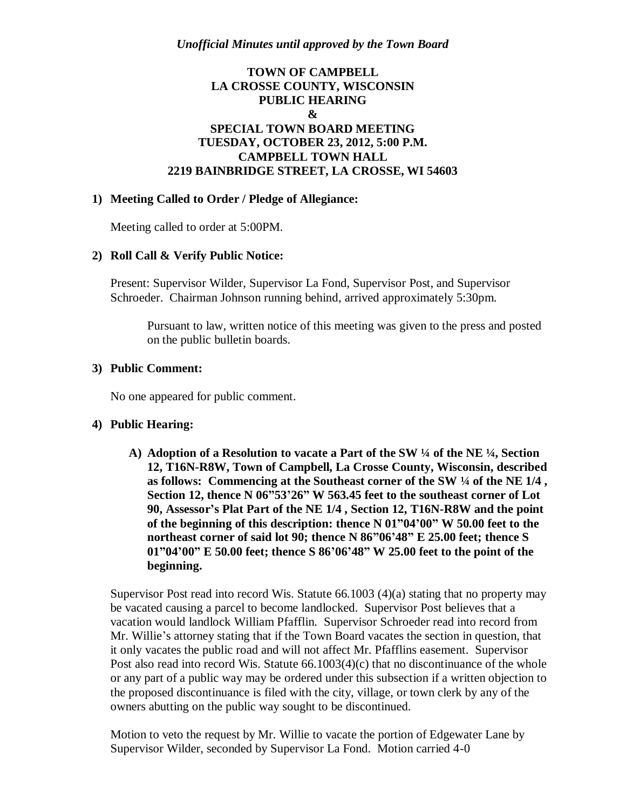# **TOWN OF CAMPBELL LA CROSSE COUNTY, WISCONSIN PUBLIC HEARING & SPECIAL TOWN BOARD MEETING TUESDAY, OCTOBER 23, 2012, 5:00 P.M. CAMPBELL TOWN HALL 2219 BAINBRIDGE STREET, LA CROSSE, WI 54603**

### **1) Meeting Called to Order / Pledge of Allegiance:**

Meeting called to order at 5:00PM.

#### **2) Roll Call & Verify Public Notice:**

Present: Supervisor Wilder, Supervisor La Fond, Supervisor Post, and Supervisor Schroeder. Chairman Johnson running behind, arrived approximately 5:30pm.

Pursuant to law, written notice of this meeting was given to the press and posted on the public bulletin boards.

#### **3) Public Comment:**

No one appeared for public comment.

#### **4) Public Hearing:**

**A) Adoption of a Resolution to vacate a Part of the SW ¼ of the NE ¼, Section 12, T16N-R8W, Town of Campbell, La Crosse County, Wisconsin, described as follows: Commencing at the Southeast corner of the SW ¼ of the NE 1/4 , Section 12, thence N 06"53'26" W 563.45 feet to the southeast corner of Lot 90, Assessor's Plat Part of the NE 1/4 , Section 12, T16N-R8W and the point of the beginning of this description: thence N 01"04'00" W 50.00 feet to the northeast corner of said lot 90; thence N 86"06'48" E 25.00 feet; thence S 01"04'00" E 50.00 feet; thence S 86'06'48" W 25.00 feet to the point of the beginning.**

Supervisor Post read into record Wis. Statute 66.1003 (4)(a) stating that no property may be vacated causing a parcel to become landlocked. Supervisor Post believes that a vacation would landlock William Pfafflin. Supervisor Schroeder read into record from Mr. Willie's attorney stating that if the Town Board vacates the section in question, that it only vacates the public road and will not affect Mr. Pfafflins easement. Supervisor Post also read into record Wis. Statute 66.1003(4)(c) that no discontinuance of the whole or any part of a public way may be ordered under this subsection if a written objection to the proposed discontinuance is filed with the city, village, or town clerk by any of the owners abutting on the public way sought to be discontinued.

Motion to veto the request by Mr. Willie to vacate the portion of Edgewater Lane by Supervisor Wilder, seconded by Supervisor La Fond. Motion carried 4-0